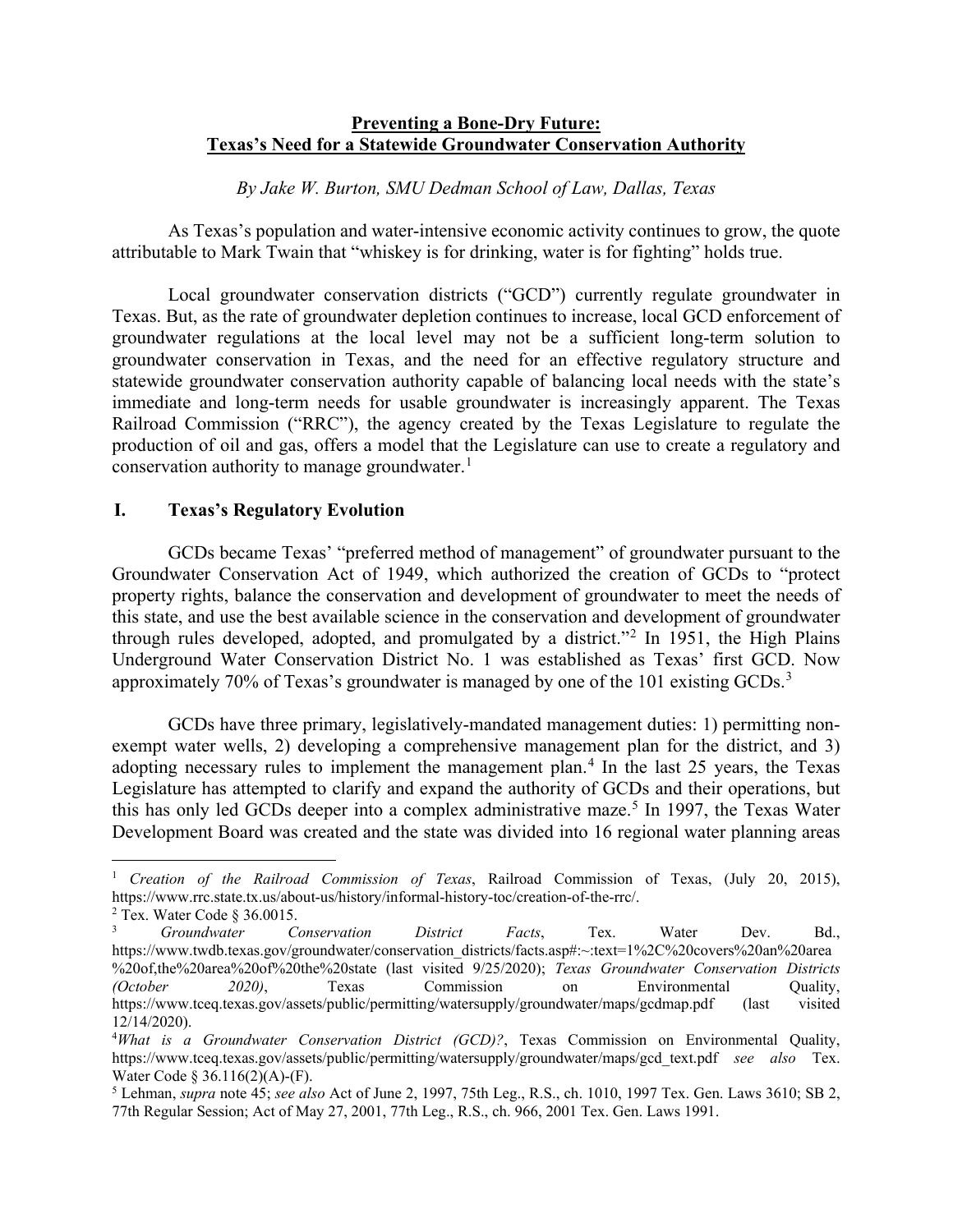# **Preventing a Bone-Dry Future: Texas's Need for a Statewide Groundwater Conservation Authority**

*By Jake W. Burton, SMU Dedman School of Law, Dallas, Texas*

As Texas's population and water-intensive economic activity continues to grow, the quote attributable to Mark Twain that "whiskey is for drinking, water is for fighting" holds true.

Local groundwater conservation districts ("GCD") currently regulate groundwater in Texas. But, as the rate of groundwater depletion continues to increase, local GCD enforcement of groundwater regulations at the local level may not be a sufficient long-term solution to groundwater conservation in Texas, and the need for an effective regulatory structure and statewide groundwater conservation authority capable of balancing local needs with the state's immediate and long-term needs for usable groundwater is increasingly apparent. The Texas Railroad Commission ("RRC"), the agency created by the Texas Legislature to regulate the production of oil and gas, offers a model that the Legislature can use to create a regulatory and conservation authority to manage groundwater.<sup>[1](#page-0-0)</sup>

### **I. Texas's Regulatory Evolution**

GCDs became Texas' "preferred method of management" of groundwater pursuant to the Groundwater Conservation Act of 1949, which authorized the creation of GCDs to "protect property rights, balance the conservation and development of groundwater to meet the needs of this state, and use the best available science in the conservation and development of groundwater through rules developed, adopted, and promulgated by a district."<sup>[2](#page-0-1)</sup> In 1951, the High Plains Underground Water Conservation District No. 1 was established as Texas' first GCD. Now approximately 70% of Texas's groundwater is managed by one of the 101 existing  $GCDs<sup>3</sup>$  $GCDs<sup>3</sup>$  $GCDs<sup>3</sup>$ 

GCDs have three primary, legislatively-mandated management duties: 1) permitting nonexempt water wells, 2) developing a comprehensive management plan for the district, and 3) adopting necessary rules to implement the management plan.<sup>[4](#page-0-3)</sup> In the last 25 years, the Texas Legislature has attempted to clarify and expand the authority of GCDs and their operations, but this has only led GCDs deeper into a complex administrative maze. [5](#page-0-4) In 1997, the Texas Water Development Board was created and the state was divided into 16 regional water planning areas

<span id="page-0-0"></span><sup>1</sup> *Creation of the Railroad Commission of Texas*, Railroad Commission of Texas, (July 20, 2015), https://www.rrc.state.tx.us/about-us/history/informal-history-toc/creation-of-the-rrc/.

<span id="page-0-1"></span><sup>2</sup> Tex. Water Code § 36.0015.

<span id="page-0-2"></span><sup>3</sup> *Groundwater Conservation District Facts*, Tex. Water Dev. Bd., https://www.twdb.texas.gov/groundwater/conservation\_districts/facts.asp#:~:text=1%2C%20covers%20an%20area %20of,the%20area%20of%20the%20state (last visited 9/25/2020); *Texas Groundwater Conservation Districts (October 2020)*, Texas Commission on Environmental Quality, https://www.tceq.texas.gov/assets/public/permitting/watersupply/groundwater/maps/gcdmap.pdf (last visited 12/14/2020).

<span id="page-0-3"></span><sup>4</sup> *What is a Groundwater Conservation District (GCD)?*, Texas Commission on Environmental Quality, https://www.tceq.texas.gov/assets/public/permitting/watersupply/groundwater/maps/gcd\_text.pdf *see also* Tex. Water Code § 36.116(2)(A)-(F).

<span id="page-0-4"></span><sup>5</sup> Lehman, *supra* note 45; *see also* Act of June 2, 1997, 75th Leg., R.S., ch. 1010, 1997 Tex. Gen. Laws 3610; SB 2, 77th Regular Session; Act of May 27, 2001, 77th Leg., R.S., ch. 966, 2001 Tex. Gen. Laws 1991.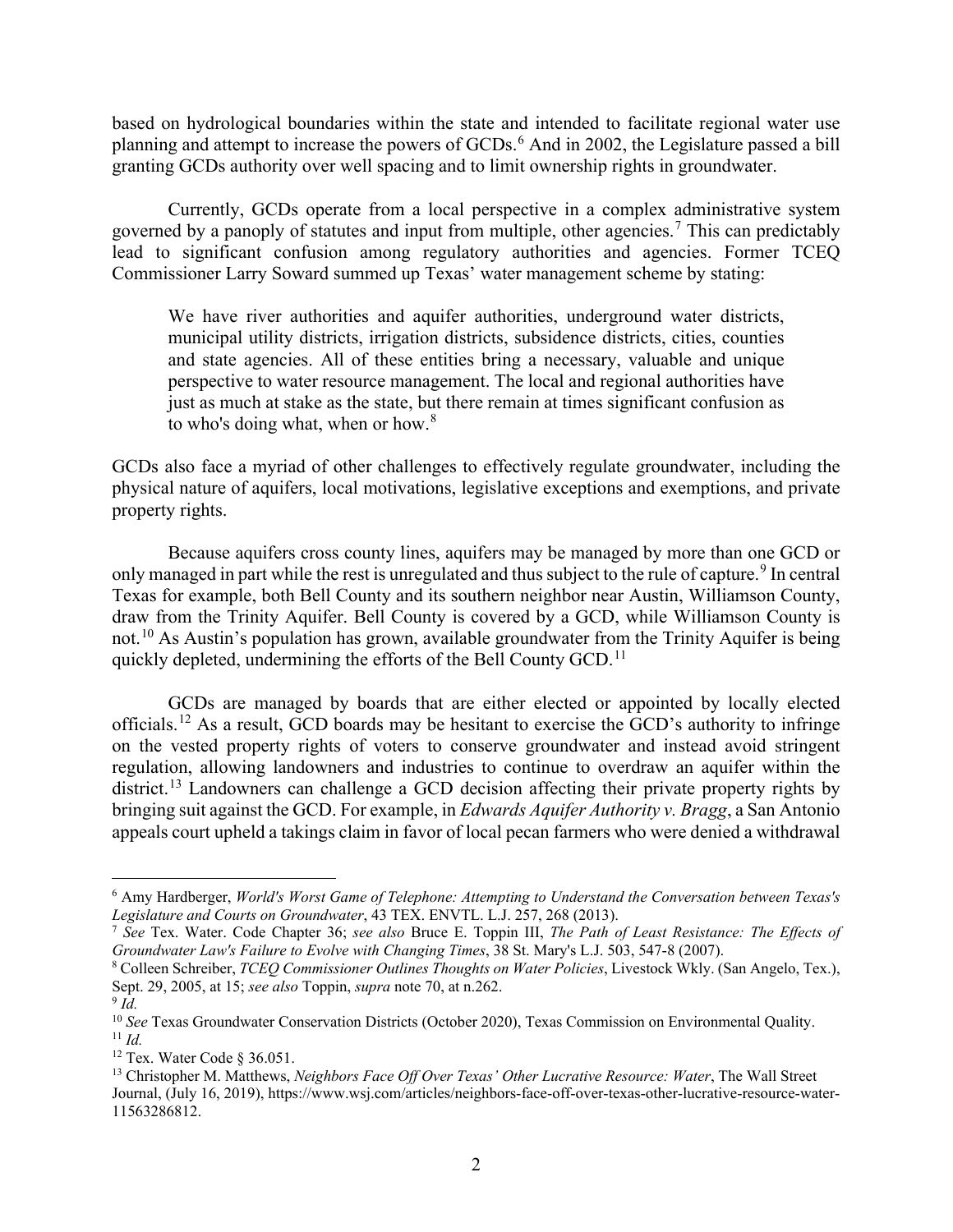based on hydrological boundaries within the state and intended to facilitate regional water use planning and attempt to increase the powers of GCDs. [6](#page-1-0) And in 2002, the Legislature passed a bill granting GCDs authority over well spacing and to limit ownership rights in groundwater.

Currently, GCDs operate from a local perspective in a complex administrative system governed by a panoply of statutes and input from multiple, other agencies.<sup>[7](#page-1-1)</sup> This can predictably lead to significant confusion among regulatory authorities and agencies. Former TCEQ Commissioner Larry Soward summed up Texas' water management scheme by stating:

We have river authorities and aquifer authorities, underground water districts, municipal utility districts, irrigation districts, subsidence districts, cities, counties and state agencies. All of these entities bring a necessary, valuable and unique perspective to water resource management. The local and regional authorities have just as much at stake as the state, but there remain at times significant confusion as to who's doing what, when or how. $8<sup>8</sup>$  $8<sup>8</sup>$ 

GCDs also face a myriad of other challenges to effectively regulate groundwater, including the physical nature of aquifers, local motivations, legislative exceptions and exemptions, and private property rights.

Because aquifers cross county lines, aquifers may be managed by more than one GCD or only managed in part while the rest is unregulated and thus subject to the rule of capture.<sup>[9](#page-1-3)</sup> In central Texas for example, both Bell County and its southern neighbor near Austin, Williamson County, draw from the Trinity Aquifer. Bell County is covered by a GCD, while Williamson County is not.<sup>[10](#page-1-4)</sup> As Austin's population has grown, available groundwater from the Trinity Aquifer is being quickly depleted, undermining the efforts of the Bell County GCD.<sup>[11](#page-1-5)</sup>

GCDs are managed by boards that are either elected or appointed by locally elected officials.<sup>[12](#page-1-6)</sup> As a result, GCD boards may be hesitant to exercise the GCD's authority to infringe on the vested property rights of voters to conserve groundwater and instead avoid stringent regulation, allowing landowners and industries to continue to overdraw an aquifer within the district.<sup>[13](#page-1-7)</sup> Landowners can challenge a GCD decision affecting their private property rights by bringing suit against the GCD. For example, in *Edwards Aquifer Authority v. Bragg*, a San Antonio appeals court upheld a takings claim in favor of local pecan farmers who were denied a withdrawal

<span id="page-1-0"></span><sup>6</sup> Amy Hardberger, *World's Worst Game of Telephone: Attempting to Understand the Conversation between Texas's* 

<span id="page-1-1"></span><sup>&</sup>lt;sup>7</sup> See Tex. Water. Code Chapter 36; *see also* Bruce E. Toppin III, *The Path of Least Resistance: The Effects of Groundwater Law's Failure to Evolve with Changing Times*, 38 St. Mary's L.J. 503, 547-8 (2007).

<span id="page-1-2"></span><sup>8</sup> Colleen Schreiber, *TCEQ Commissioner Outlines Thoughts on Water Policies*, Livestock Wkly. (San Angelo, Tex.), Sept. 29, 2005, at 15; *see also* Toppin, *supra* note 70, at n.262.

<span id="page-1-3"></span><sup>9</sup> *Id.*

<span id="page-1-5"></span><span id="page-1-4"></span><sup>10</sup> *See* Texas Groundwater Conservation Districts (October 2020), Texas Commission on Environmental Quality.  $11$  *Id.* 

<span id="page-1-6"></span><sup>12</sup> Tex. Water Code § 36.051.

<span id="page-1-7"></span><sup>13</sup> Christopher M. Matthews, *Neighbors Face Off Over Texas' Other Lucrative Resource: Water*, The Wall Street Journal, (July 16, 2019), https://www.wsj.com/articles/neighbors-face-off-over-texas-other-lucrative-resource-water-11563286812.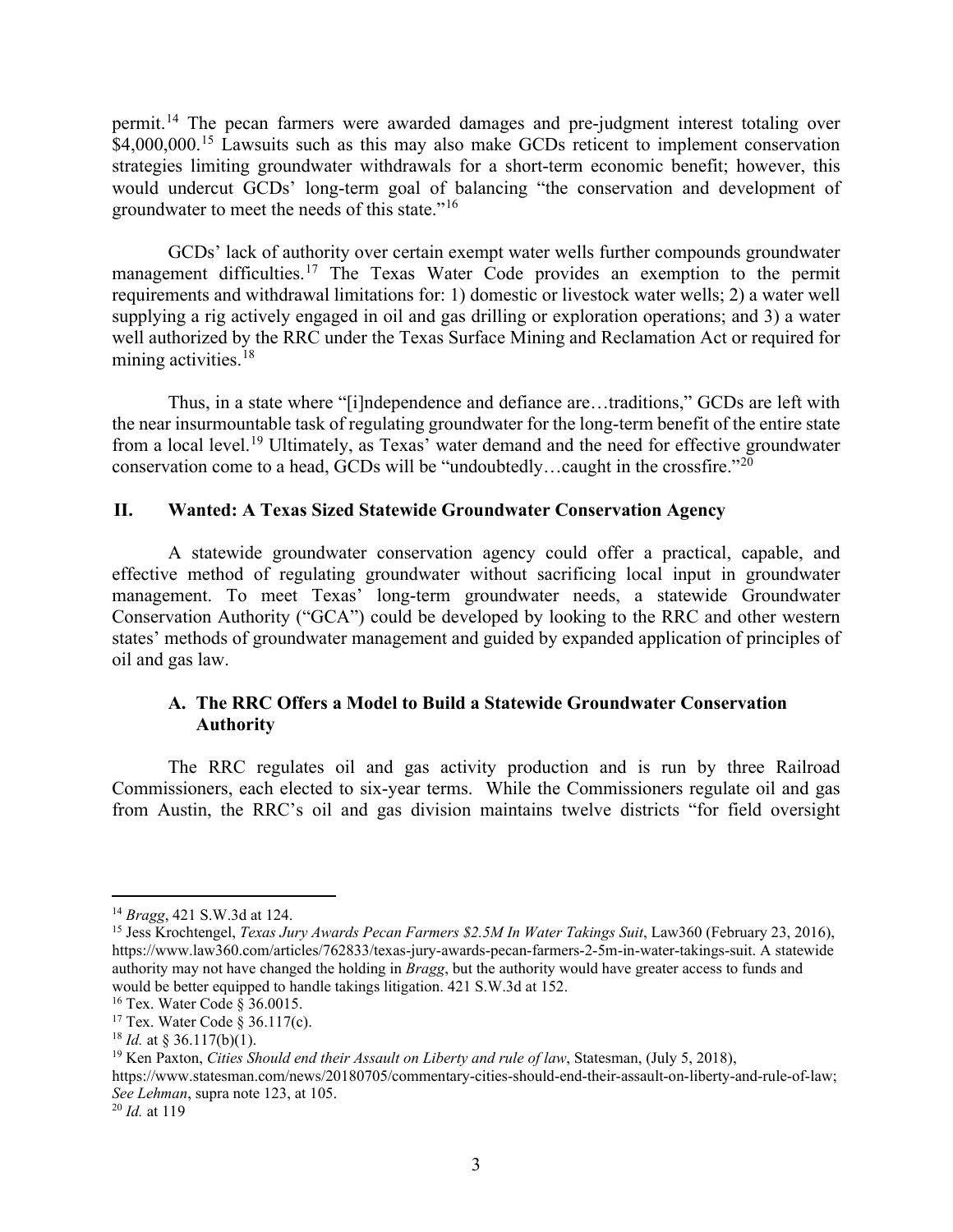permit.[14](#page-2-0) The pecan farmers were awarded damages and pre-judgment interest totaling over \$4,000,000.<sup>[15](#page-2-1)</sup> Lawsuits such as this may also make GCDs reticent to implement conservation strategies limiting groundwater withdrawals for a short-term economic benefit; however, this would undercut GCDs' long-term goal of balancing "the conservation and development of groundwater to meet the needs of this state."[16](#page-2-2)

GCDs' lack of authority over certain exempt water wells further compounds groundwater management difficulties.<sup>[17](#page-2-3)</sup> The Texas Water Code provides an exemption to the permit requirements and withdrawal limitations for: 1) domestic or livestock water wells; 2) a water well supplying a rig actively engaged in oil and gas drilling or exploration operations; and 3) a water well authorized by the RRC under the Texas Surface Mining and Reclamation Act or required for mining activities.<sup>[18](#page-2-4)</sup>

Thus, in a state where "[i]ndependence and defiance are…traditions," GCDs are left with the near insurmountable task of regulating groundwater for the long-term benefit of the entire state from a local level.<sup>[19](#page-2-5)</sup> Ultimately, as Texas' water demand and the need for effective groundwater conservation come to a head, GCDs will be "undoubtedly...caught in the crossfire."<sup>[20](#page-2-6)</sup>

## **II. Wanted: A Texas Sized Statewide Groundwater Conservation Agency**

A statewide groundwater conservation agency could offer a practical, capable, and effective method of regulating groundwater without sacrificing local input in groundwater management. To meet Texas' long-term groundwater needs, a statewide Groundwater Conservation Authority ("GCA") could be developed by looking to the RRC and other western states' methods of groundwater management and guided by expanded application of principles of oil and gas law.

## **A. The RRC Offers a Model to Build a Statewide Groundwater Conservation Authority**

The RRC regulates oil and gas activity production and is run by three Railroad Commissioners, each elected to six-year terms. While the Commissioners regulate oil and gas from Austin, the RRC's oil and gas division maintains twelve districts "for field oversight

<span id="page-2-0"></span><sup>14</sup> *Bragg*, 421 S.W.3d at 124.

<span id="page-2-1"></span><sup>&</sup>lt;sup>15</sup> Jess Krochtengel, *Texas Jury Awards Pecan Farmers \$2.5M In Water Takings Suit*, Law360 (February 23, 2016), https://www.law360.com/articles/762833/texas-jury-awards-pecan-farmers-2-5m-in-water-takings-suit. A statewide authority may not have changed the holding in *Bragg*, but the authority would have greater access to funds and would be better equipped to handle takings litigation. 421 S.W.3d at 152.

<span id="page-2-2"></span><sup>16</sup> Tex. Water Code § 36.0015.

<span id="page-2-3"></span><sup>17</sup> Tex. Water Code § 36.117(c). 18 *Id.* at § 36.117(b)(1).

<span id="page-2-5"></span><span id="page-2-4"></span><sup>19</sup> Ken Paxton, *Cities Should end their Assault on Liberty and rule of law*, Statesman, (July 5, 2018),

https://www.statesman.com/news/20180705/commentary-cities-should-end-their-assault-on-liberty-and-rule-of-law; *See Lehman*, supra note 123, at 105.

<span id="page-2-6"></span><sup>20</sup> *Id.* at 119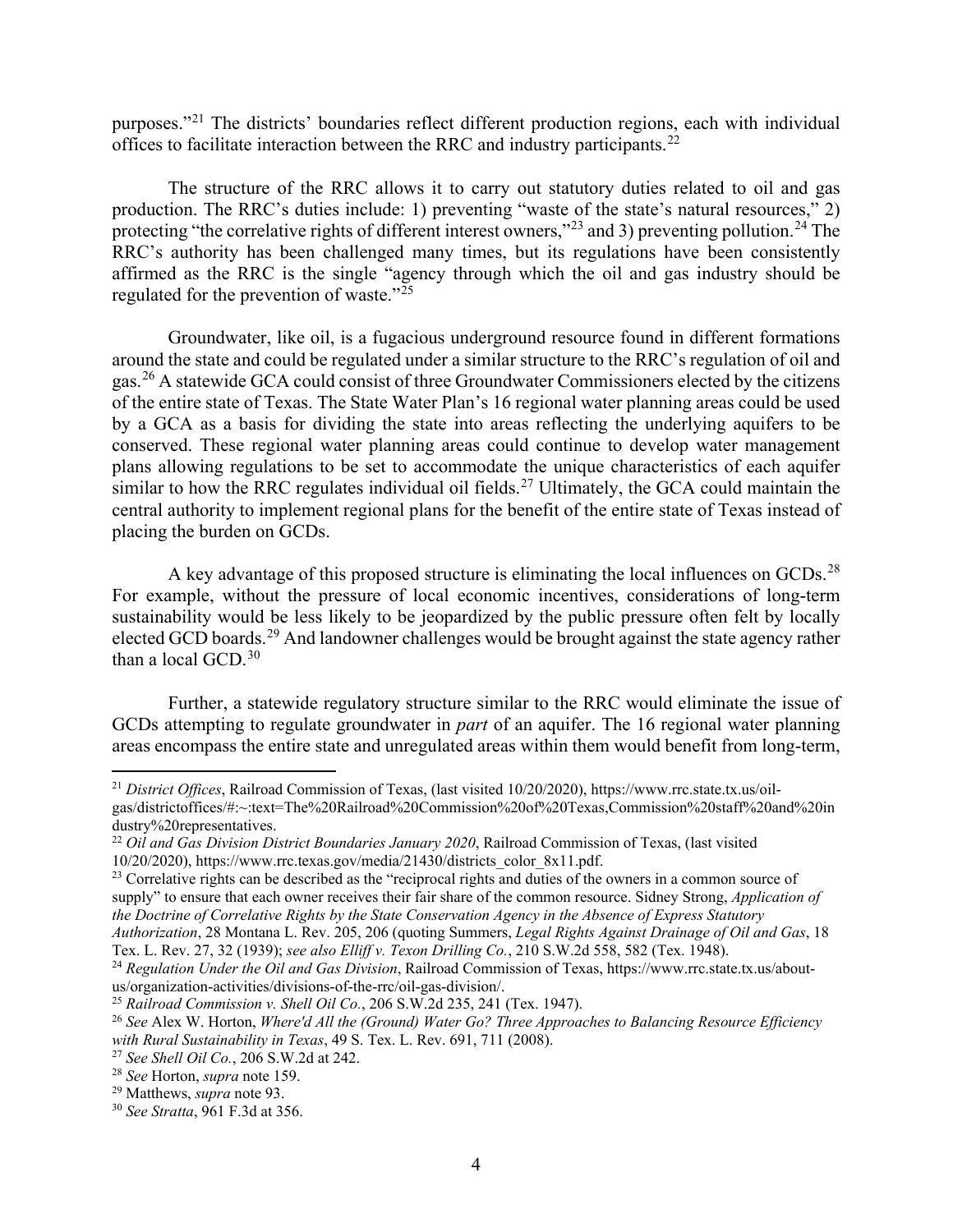purposes."[21](#page-3-0) The districts' boundaries reflect different production regions, each with individual offices to facilitate interaction between the RRC and industry participants.<sup>[22](#page-3-1)</sup>

The structure of the RRC allows it to carry out statutory duties related to oil and gas production. The RRC's duties include: 1) preventing "waste of the state's natural resources," 2) protecting "the correlative rights of different interest owners,"<sup>[23](#page-3-2)</sup> and 3) preventing pollution.<sup>[24](#page-3-3)</sup> The RRC's authority has been challenged many times, but its regulations have been consistently affirmed as the RRC is the single "agency through which the oil and gas industry should be regulated for the prevention of waste."[25](#page-3-4)

Groundwater, like oil, is a fugacious underground resource found in different formations around the state and could be regulated under a similar structure to the RRC's regulation of oil and gas.<sup>[26](#page-3-5)</sup> A statewide GCA could consist of three Groundwater Commissioners elected by the citizens of the entire state of Texas. The State Water Plan's 16 regional water planning areas could be used by a GCA as a basis for dividing the state into areas reflecting the underlying aquifers to be conserved. These regional water planning areas could continue to develop water management plans allowing regulations to be set to accommodate the unique characteristics of each aquifer similar to how the RRC regulates individual oil fields.<sup>[27](#page-3-6)</sup> Ultimately, the GCA could maintain the central authority to implement regional plans for the benefit of the entire state of Texas instead of placing the burden on GCDs.

A key advantage of this proposed structure is eliminating the local influences on GCDs.<sup>[28](#page-3-7)</sup> For example, without the pressure of local economic incentives, considerations of long-term sustainability would be less likely to be jeopardized by the public pressure often felt by locally elected GCD boards.<sup>[29](#page-3-8)</sup> And landowner challenges would be brought against the state agency rather than a local GCD.<sup>[30](#page-3-9)</sup>

Further, a statewide regulatory structure similar to the RRC would eliminate the issue of GCDs attempting to regulate groundwater in *part* of an aquifer. The 16 regional water planning areas encompass the entire state and unregulated areas within them would benefit from long-term,

Tex. L. Rev. 27, 32 (1939); *see also Elliff v. Texon Drilling Co.*, 210 S.W.2d 558, 582 (Tex. 1948).

<span id="page-3-0"></span><sup>21</sup> *District Offices*, Railroad Commission of Texas, (last visited 10/20/2020), https://www.rrc.state.tx.us/oilgas/districtoffices/#:~:text=The%20Railroad%20Commission%20of%20Texas,Commission%20staff%20and%20in dustry%20representatives.

<span id="page-3-1"></span><sup>22</sup> *Oil and Gas Division District Boundaries January 2020*, Railroad Commission of Texas, (last visited 10/20/2020), https://www.rrc.texas.gov/media/21430/districts\_color\_8x11.pdf.

<span id="page-3-2"></span><sup>&</sup>lt;sup>23</sup> Correlative rights can be described as the "reciprocal rights and duties of the owners in a common source of supply" to ensure that each owner receives their fair share of the common resource. Sidney Strong, *Application of the Doctrine of Correlative Rights by the State Conservation Agency in the Absence of Express Statutory Authorization*, 28 Montana L. Rev. 205, 206 (quoting Summers, *Legal Rights Against Drainage of Oil and Gas*, 18

<span id="page-3-3"></span><sup>24</sup> *Regulation Under the Oil and Gas Division*, Railroad Commission of Texas, https://www.rrc.state.tx.us/aboutus/organization-activities/divisions-of-the-rrc/oil-gas-division/.

<span id="page-3-4"></span><sup>25</sup> *Railroad Commission v. Shell Oil Co.*, 206 S.W.2d 235, 241 (Tex. 1947).

<span id="page-3-5"></span><sup>26</sup> *See* Alex W. Horton, *Where'd All the (Ground) Water Go? Three Approaches to Balancing Resource Efficiency with Rural Sustainability in Texas*, 49 S. Tex. L. Rev. 691, 711 (2008).

<span id="page-3-6"></span><sup>27</sup> *See Shell Oil Co.*, 206 S.W.2d at 242.

<span id="page-3-7"></span><sup>28</sup> *See* Horton, *supra* note 159.

<span id="page-3-8"></span><sup>29</sup> Matthews, *supra* note 93.

<span id="page-3-9"></span><sup>30</sup> *See Stratta*, 961 F.3d at 356.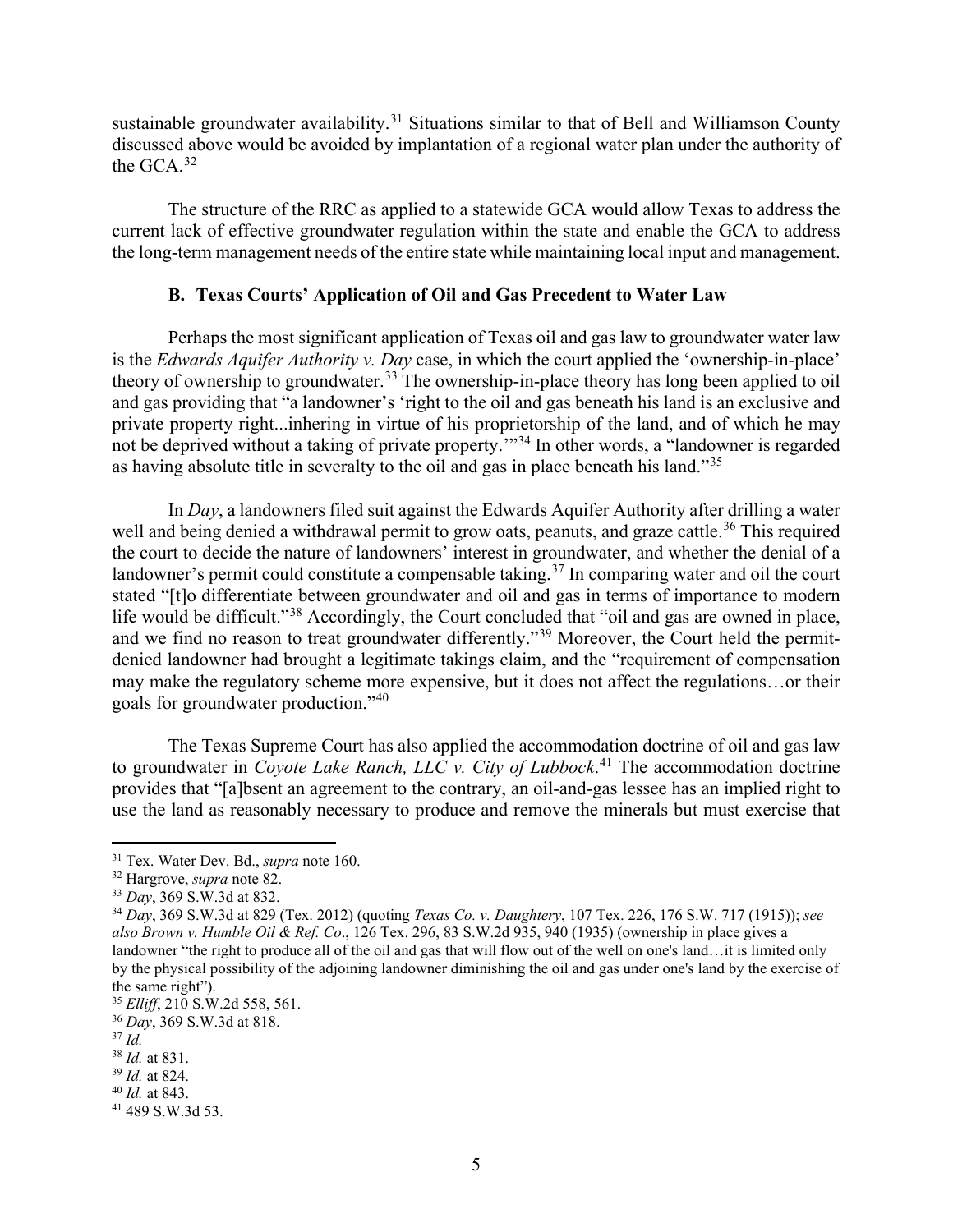sustainable groundwater availability.<sup>[31](#page-4-0)</sup> Situations similar to that of Bell and Williamson County discussed above would be avoided by implantation of a regional water plan under the authority of the GCA.[32](#page-4-1)

The structure of the RRC as applied to a statewide GCA would allow Texas to address the current lack of effective groundwater regulation within the state and enable the GCA to address the long-term management needs of the entire state while maintaining local input and management.

### **B. Texas Courts' Application of Oil and Gas Precedent to Water Law**

Perhaps the most significant application of Texas oil and gas law to groundwater water law is the *Edwards Aquifer Authority v. Day* case, in which the court applied the 'ownership-in-place' theory of ownership to groundwater.[33](#page-4-2) The ownership-in-place theory has long been applied to oil and gas providing that "a landowner's 'right to the oil and gas beneath his land is an exclusive and private property right...inhering in virtue of his proprietorship of the land, and of which he may not be deprived without a taking of private property.<sup>'"[34](#page-4-3)</sup> In other words, a "landowner is regarded as having absolute title in severalty to the oil and gas in place beneath his land."[35](#page-4-4)

In *Day*, a landowners filed suit against the Edwards Aquifer Authority after drilling a water well and being denied a withdrawal permit to grow oats, peanuts, and graze cattle.<sup>[36](#page-4-5)</sup> This required the court to decide the nature of landowners' interest in groundwater, and whether the denial of a landowner's permit could constitute a compensable taking.<sup>[37](#page-4-6)</sup> In comparing water and oil the court stated "[t]o differentiate between groundwater and oil and gas in terms of importance to modern life would be difficult."<sup>[38](#page-4-7)</sup> Accordingly, the Court concluded that "oil and gas are owned in place, and we find no reason to treat groundwater differently."<sup>[39](#page-4-8)</sup> Moreover, the Court held the permitdenied landowner had brought a legitimate takings claim, and the "requirement of compensation may make the regulatory scheme more expensive, but it does not affect the regulations…or their goals for groundwater production."[40](#page-4-9)

The Texas Supreme Court has also applied the accommodation doctrine of oil and gas law to groundwater in *Coyote Lake Ranch, LLC v. City of Lubbock*. [41](#page-4-10) The accommodation doctrine provides that "[a]bsent an agreement to the contrary, an oil-and-gas lessee has an implied right to use the land as reasonably necessary to produce and remove the minerals but must exercise that

<span id="page-4-0"></span><sup>31</sup> Tex. Water Dev. Bd., *supra* note 160.

<span id="page-4-1"></span><sup>32</sup> Hargrove, *supra* note 82.

<span id="page-4-2"></span><sup>33</sup> *Day*, 369 S.W.3d at 832.

<span id="page-4-3"></span><sup>34</sup> *Day*, 369 S.W.3d at 829 (Tex. 2012) (quoting *Texas Co. v. Daughtery*, 107 Tex. 226, 176 S.W. 717 (1915)); *see also Brown v. Humble Oil & Ref. Co*., 126 Tex. 296, 83 S.W.2d 935, 940 (1935) (ownership in place gives a landowner "the right to produce all of the oil and gas that will flow out of the well on one's land…it is limited only by the physical possibility of the adjoining landowner diminishing the oil and gas under one's land by the exercise of the same right").

<span id="page-4-4"></span><sup>35</sup> *Elliff*, 210 S.W.2d 558, 561.

<span id="page-4-5"></span><sup>36</sup> *Day*, 369 S.W.3d at 818.

<span id="page-4-6"></span><sup>37</sup> *Id.*

<span id="page-4-7"></span><sup>38</sup> *Id.* at 831.

<span id="page-4-8"></span><sup>39</sup> *Id.* at 824.

<span id="page-4-9"></span><sup>40</sup> *Id.* at 843.

<span id="page-4-10"></span><sup>41</sup> 489 S.W.3d 53.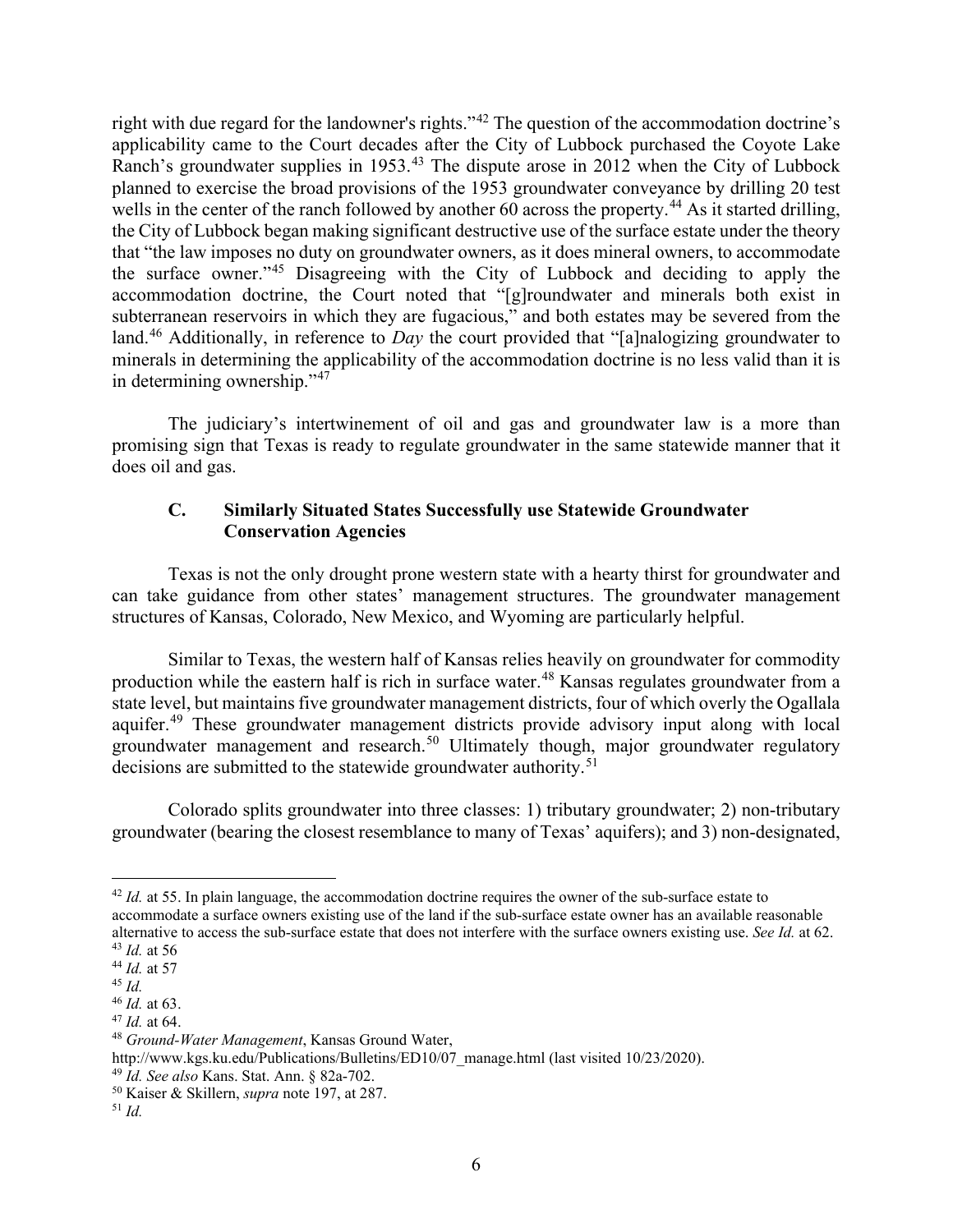right with due regard for the landowner's rights."[42](#page-5-0) The question of the accommodation doctrine's applicability came to the Court decades after the City of Lubbock purchased the Coyote Lake Ranch's groundwater supplies in 1953.<sup>[43](#page-5-1)</sup> The dispute arose in 2012 when the City of Lubbock planned to exercise the broad provisions of the 1953 groundwater conveyance by drilling 20 test wells in the center of the ranch followed by another 60 across the property.<sup>[44](#page-5-2)</sup> As it started drilling, the City of Lubbock began making significant destructive use of the surface estate under the theory that "the law imposes no duty on groundwater owners, as it does mineral owners, to accommodate the surface owner."[45](#page-5-3) Disagreeing with the City of Lubbock and deciding to apply the accommodation doctrine, the Court noted that "[g]roundwater and minerals both exist in subterranean reservoirs in which they are fugacious," and both estates may be severed from the land.[46](#page-5-4) Additionally, in reference to *Day* the court provided that "[a]nalogizing groundwater to minerals in determining the applicability of the accommodation doctrine is no less valid than it is in determining ownership."[47](#page-5-5)

The judiciary's intertwinement of oil and gas and groundwater law is a more than promising sign that Texas is ready to regulate groundwater in the same statewide manner that it does oil and gas.

# **C. Similarly Situated States Successfully use Statewide Groundwater Conservation Agencies**

Texas is not the only drought prone western state with a hearty thirst for groundwater and can take guidance from other states' management structures. The groundwater management structures of Kansas, Colorado, New Mexico, and Wyoming are particularly helpful.

Similar to Texas, the western half of Kansas relies heavily on groundwater for commodity production while the eastern half is rich in surface water.<sup>[48](#page-5-6)</sup> Kansas regulates groundwater from a state level, but maintains five groundwater management districts, four of which overly the Ogallala aquifer.<sup>[49](#page-5-7)</sup> These groundwater management districts provide advisory input along with local groundwater management and research.<sup>[50](#page-5-8)</sup> Ultimately though, major groundwater regulatory decisions are submitted to the statewide groundwater authority.<sup>[51](#page-5-9)</sup>

Colorado splits groundwater into three classes: 1) tributary groundwater; 2) non-tributary groundwater (bearing the closest resemblance to many of Texas' aquifers); and 3) non-designated,

<span id="page-5-0"></span><sup>&</sup>lt;sup>42</sup> *Id.* at 55. In plain language, the accommodation doctrine requires the owner of the sub-surface estate to accommodate a surface owners existing use of the land if the sub-surface estate owner has an available reasonable alternative to access the sub-surface estate that does not interfere with the surface owners existing use. *See Id.* at 62.

<span id="page-5-1"></span><sup>43</sup> *Id.* at 56 <sup>44</sup> *Id.* at 57

<span id="page-5-3"></span><span id="page-5-2"></span><sup>45</sup> *Id.*

<span id="page-5-4"></span><sup>46</sup> *Id.* at 63.

<span id="page-5-5"></span><sup>47</sup> *Id.* at 64.

<span id="page-5-6"></span><sup>48</sup> *Ground-Water Management*, Kansas Ground Water,

http://www.kgs.ku.edu/Publications/Bulletins/ED10/07\_manage.html (last visited 10/23/2020).

<span id="page-5-7"></span><sup>49</sup> *Id. See also* Kans. Stat. Ann. § 82a-702.

<span id="page-5-8"></span><sup>50</sup> Kaiser & Skillern, *supra* note 197, at 287.

<span id="page-5-9"></span><sup>51</sup> *Id.*